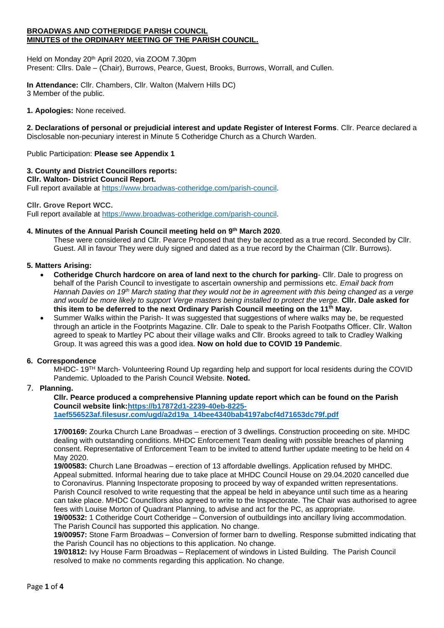#### **BROADWAS AND COTHERIDGE PARISH COUNCIL MINUTES of the ORDINARY MEETING OF THE PARISH COUNCIL.**

Held on Monday 20<sup>th</sup> April 2020, via ZOOM 7.30pm Present: Cllrs. Dale – (Chair), Burrows, Pearce, Guest, Brooks, Burrows, Worrall, and Cullen.

**In Attendance:** Cllr. Chambers, Cllr. Walton (Malvern Hills DC) 3 Member of the public.

**1. Apologies:** None received.

**2. Declarations of personal or prejudicial interest and update Register of Interest Forms**. Cllr. Pearce declared a Disclosable non-pecuniary interest in Minute 5 Cotheridge Church as a Church Warden.

Public Participation: **Please see Appendix 1**

# **3. County and District Councillors reports:**

**Cllr. Walton- District Council Report.**

Full report available at [https://www.broadwas-cotheridge.com/parish-council.](https://www.broadwas-cotheridge.com/parish-council)

#### **Cllr. Grove Report WCC.**

Full report available at [https://www.broadwas-cotheridge.com/parish-council.](https://www.broadwas-cotheridge.com/parish-council)

#### **4. Minutes of the Annual Parish Council meeting held on 9 th March 2020**.

These were considered and Cllr. Pearce Proposed that they be accepted as a true record. Seconded by Cllr. Guest. All in favour They were duly signed and dated as a true record by the Chairman (Cllr. Burrows).

#### **5. Matters Arising:**

- **Cotheridge Church hardcore on area of land next to the church for parking** Cllr. Dale to progress on behalf of the Parish Council to investigate to ascertain ownership and permissions etc*. Email back from Hannah Davies on 19th March stating that they would not be in agreement with this being changed as a verge and would be more likely to support Verge masters being installed to protect the verge.* **Cllr. Dale asked for this item to be deferred to the next Ordinary Parish Council meeting on the 11th May.**
- Summer Walks within the Parish- It was suggested that suggestions of where walks may be, be requested through an article in the Footprints Magazine. Cllr. Dale to speak to the Parish Footpaths Officer. Cllr. Walton agreed to speak to Martley PC about their village walks and Cllr. Brooks agreed to talk to Cradley Walking Group. It was agreed this was a good idea. **Now on hold due to COVID 19 Pandemic**.

#### **6. Correspondence**

MHDC- 19TH March- Volunteering Round Up regarding help and support for local residents during the COVID Pandemic. Uploaded to the Parish Council Website. **Noted.**

## 7. **Planning.**

**Cllr. Pearce produced a comprehensive Planning update report which can be found on the Parish Council website link[:https://b17872d1-2239-40eb-8225-](https://b17872d1-2239-40eb-8225-1aef556523af.filesusr.com/ugd/a2d19a_14bee4340bab4197abcf4d71653dc79f.pdf) [1aef556523af.filesusr.com/ugd/a2d19a\\_14bee4340bab4197abcf4d71653dc79f.pdf](https://b17872d1-2239-40eb-8225-1aef556523af.filesusr.com/ugd/a2d19a_14bee4340bab4197abcf4d71653dc79f.pdf)**

**17/00169:** Zourka Church Lane Broadwas – erection of 3 dwellings. Construction proceeding on site. MHDC dealing with outstanding conditions. MHDC Enforcement Team dealing with possible breaches of planning consent. Representative of Enforcement Team to be invited to attend further update meeting to be held on 4 May 2020.

**19/00583:** Church Lane Broadwas – erection of 13 affordable dwellings. Application refused by MHDC. Appeal submitted. Informal hearing due to take place at MHDC Council House on 29.04.2020 cancelled due to Coronavirus. Planning Inspectorate proposing to proceed by way of expanded written representations. Parish Council resolved to write requesting that the appeal be held in abeyance until such time as a hearing can take place. MHDC Counclllors also agreed to write to the Inspectorate. The Chair was authorised to agree fees with Louise Morton of Quadrant Planning, to advise and act for the PC, as appropriate.

**19/00532:** 1 Cotheridge Court Cotheridge – Conversion of outbuildings into ancillary living accommodation. The Parish Council has supported this application. No change.

**19/00957:** Stone Farm Broadwas – Conversion of former barn to dwelling. Response submitted indicating that the Parish Council has no objections to this application. No change.

**19/01812:** Ivy House Farm Broadwas – Replacement of windows in Listed Building. The Parish Council resolved to make no comments regarding this application. No change.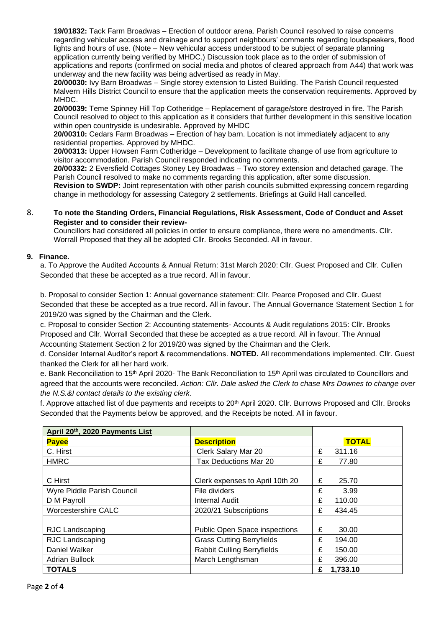**19/01832:** Tack Farm Broadwas – Erection of outdoor arena. Parish Council resolved to raise concerns regarding vehicular access and drainage and to support neighbours' comments regarding loudspeakers, flood lights and hours of use. (Note – New vehicular access understood to be subject of separate planning application currently being verified by MHDC.) Discussion took place as to the order of submission of applications and reports (confirmed on social media and photos of cleared approach from A44) that work was underway and the new facility was being advertised as ready in May.

**20/00030:** Ivy Barn Broadwas – Single storey extension to Listed Building. The Parish Council requested Malvern Hills District Council to ensure that the application meets the conservation requirements. Approved by MHDC.

**20/00039:** Teme Spinney Hill Top Cotheridge – Replacement of garage/store destroyed in fire. The Parish Council resolved to object to this application as it considers that further development in this sensitive location within open countryside is undesirable. Approved by MHDC

**20/00310:** Cedars Farm Broadwas – Erection of hay barn. Location is not immediately adjacent to any residential properties. Approved by MHDC.

**20/00313:** Upper Howsen Farm Cotheridge – Development to facilitate change of use from agriculture to visitor accommodation. Parish Council responded indicating no comments.

**20/00332:** 2 Eversfield Cottages Stoney Ley Broadwas – Two storey extension and detached garage. The Parish Council resolved to make no comments regarding this application, after some discussion.

**Revision to SWDP:** Joint representation with other parish councils submitted expressing concern regarding change in methodology for assessing Category 2 settlements. Briefings at Guild Hall cancelled.

#### 8. **To note the Standing Orders, Financial Regulations, Risk Assessment, Code of Conduct and Asset Register and to consider their review-**

Councillors had considered all policies in order to ensure compliance, there were no amendments. Cllr. Worrall Proposed that they all be adopted Cllr. Brooks Seconded. All in favour.

## **9. Finance.**

a. To Approve the Audited Accounts & Annual Return: 31st March 2020: Cllr. Guest Proposed and Cllr. Cullen Seconded that these be accepted as a true record. All in favour.

b. Proposal to consider Section 1: Annual governance statement: Cllr. Pearce Proposed and Cllr. Guest Seconded that these be accepted as a true record. All in favour. The Annual Governance Statement Section 1 for 2019/20 was signed by the Chairman and the Clerk.

c. Proposal to consider Section 2: Accounting statements- Accounts & Audit regulations 2015: Cllr. Brooks Proposed and Cllr. Worrall Seconded that these be accepted as a true record. All in favour. The Annual Accounting Statement Section 2 for 2019/20 was signed by the Chairman and the Clerk.

d. Consider Internal Auditor's report & recommendations. **NOTED.** All recommendations implemented. Cllr. Guest thanked the Clerk for all her hard work.

e. Bank Reconciliation to 15<sup>th</sup> April 2020- The Bank Reconciliation to 15<sup>th</sup> April was circulated to Councillors and agreed that the accounts were reconciled. *Action: Cllr. Dale asked the Clerk to chase Mrs Downes to change over the N.S.&I contact details to the existing clerk.*

f. Approve attached list of due payments and receipts to 20<sup>th</sup> April 2020. Cllr. Burrows Proposed and Cllr. Brooks Seconded that the Payments below be approved, and the Receipts be noted. All in favour.

| April 20th, 2020 Payments List |                                   |   |              |
|--------------------------------|-----------------------------------|---|--------------|
| <b>Payee</b>                   | <b>Description</b>                |   | <b>TOTAL</b> |
| C. Hirst                       | Clerk Salary Mar 20               | £ | 311.16       |
| <b>HMRC</b>                    | Tax Deductions Mar 20             | £ | 77.80        |
|                                |                                   |   |              |
| C Hirst                        | Clerk expenses to April 10th 20   | £ | 25.70        |
| Wyre Piddle Parish Council     | File dividers                     | £ | 3.99         |
| D M Payroll                    | <b>Internal Audit</b>             | £ | 110.00       |
| <b>Worcestershire CALC</b>     | 2020/21 Subscriptions             | £ | 434.45       |
|                                |                                   |   |              |
| <b>RJC Landscaping</b>         | Public Open Space inspections     | £ | 30.00        |
| <b>RJC Landscaping</b>         | <b>Grass Cutting Berryfields</b>  | £ | 194.00       |
| Daniel Walker                  | <b>Rabbit Culling Berryfields</b> | £ | 150.00       |
| <b>Adrian Bullock</b>          | March Lengthsman                  | £ | 396.00       |
| <b>TOTALS</b>                  |                                   | £ | 1,733.10     |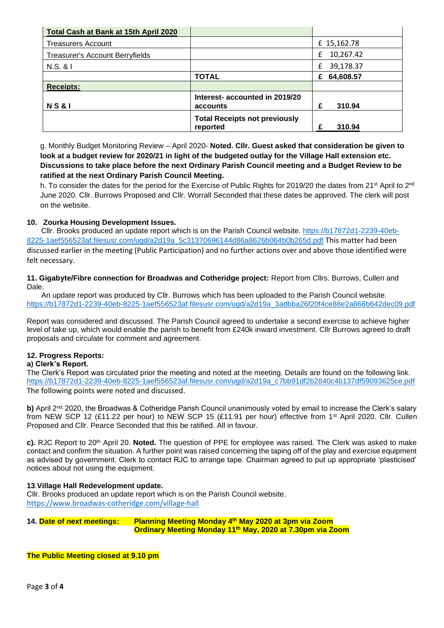| Total Cash at Bank at 15th April 2020  |                                                  |                |
|----------------------------------------|--------------------------------------------------|----------------|
| <b>Treasurers Account</b>              |                                                  | £ 15,162.78    |
| <b>Treasurer's Account Berryfields</b> |                                                  | 10,267.42<br>£ |
| $N.S.$ & I                             |                                                  | 39,178.37<br>£ |
|                                        | <b>TOTAL</b>                                     | 64,608.57<br>£ |
| <b>Receipts:</b>                       |                                                  |                |
| <b>NS&amp;I</b>                        | Interest- accounted in 2019/20<br>accounts       | 310.94<br>£    |
|                                        | <b>Total Receipts not previously</b><br>reported | 310.94<br>£    |

g. Monthly Budget Monitoring Review – April 2020- **Noted. Cllr. Guest asked that consideration be given to look at a budget review for 2020/21 in light of the budgeted outlay for the Village Hall extension etc. Discussions to take place before the next Ordinary Parish Council meeting and a Budget Review to be ratified at the next Ordinary Parish Council Meeting.**

h. To consider the dates for the period for the Exercise of Public Rights for 2019/20 the dates from 21<sup>st</sup> April to 2<sup>nd</sup> June 2020. Cllr. Burrows Proposed and Cllr. Worrall Seconded that these dates be approved. The clerk will post on the website.

## **10. Zourka Housing Development Issues.**

 Cllr. Brooks produced an update report which is on the Parish Council website. [https://b17872d1-2239-40eb-](https://b17872d1-2239-40eb-8225-1aef556523af.filesusr.com/ugd/a2d19a_5c31370696144d86a8626b064b0b265d.pdf)[8225-1aef556523af.filesusr.com/ugd/a2d19a\\_5c31370696144d86a8626b064b0b265d.pdf](https://b17872d1-2239-40eb-8225-1aef556523af.filesusr.com/ugd/a2d19a_5c31370696144d86a8626b064b0b265d.pdf) This matter had been discussed earlier in the meeting (Public Participation) and no further actions over and above those identified were felt necessary.

**11. Gigabyte/Fibre connection for Broadwas and Cotheridge project:** Report from Cllrs. Burrows, Cullen and Dale.

 An update report was produced by Cllr. Burrows which has been uploaded to the Parish Council website. [https://b17872d1-2239-40eb-8225-1aef556523af.filesusr.com/ugd/a2d19a\\_3adbba26f20f4ce88e2a868b642dec09.pdf](https://b17872d1-2239-40eb-8225-1aef556523af.filesusr.com/ugd/a2d19a_3adbba26f20f4ce88e2a868b642dec09.pdf)

Report was considered and discussed. The Parish Council agreed to undertake a second exercise to achieve higher level of take up, which would enable the parish to benefit from £240k inward investment. Cllr Burrows agreed to draft proposals and circulate for comment and agreement.

#### **12. Progress Reports:**

#### **a) Clerk's Report.**

The Clerk's Report was circulated prior the meeting and noted at the meeting. Details are found on the following link. [https://b17872d1-2239-40eb-8225-1aef556523af.filesusr.com/ugd/a2d19a\\_c7bb91df2b2840c4b137df59093625ce.pdf](https://b17872d1-2239-40eb-8225-1aef556523af.filesusr.com/ugd/a2d19a_c7bb91df2b2840c4b137df59093625ce.pdf) The following points were noted and discussed.

**b)** April 2<sup>nd,</sup> 2020, the Broadwas & Cotheridge Parish Council unanimously voted by email to increase the Clerk's salary from NEW SCP 12 (£11.22 per hour) to NEW SCP 15 (£11.91 per hour) effective from 1st April 2020. Cllr. Cullen Proposed and Cllr. Pearce Seconded that this be ratified. All in favour.

**c).** RJC Report to 20th April 20. **Noted.** The question of PPE for employee was raised. The Clerk was asked to make contact and confirm the situation. A further point was raised concerning the taping off of the play and exercise equipment as advised by government. Clerk to contact RJC to arrange tape. Chairman agreed to put up appropriate 'plasticised' notices about not using the equipment.

#### **13**.**Village Hall Redevelopment update.**

Cllr. Brooks produced an update report which is on the Parish Council website. <https://www.broadwas-cotheridge.com/village-hall>

**14. Date of next meetings: Planning Meeting Monday 4th May 2020 at 3pm via Zoom Ordinary Meeting Monday 11th May, 2020 at 7.30pm via Zoom**

**The Public Meeting closed at 9.10 pm**